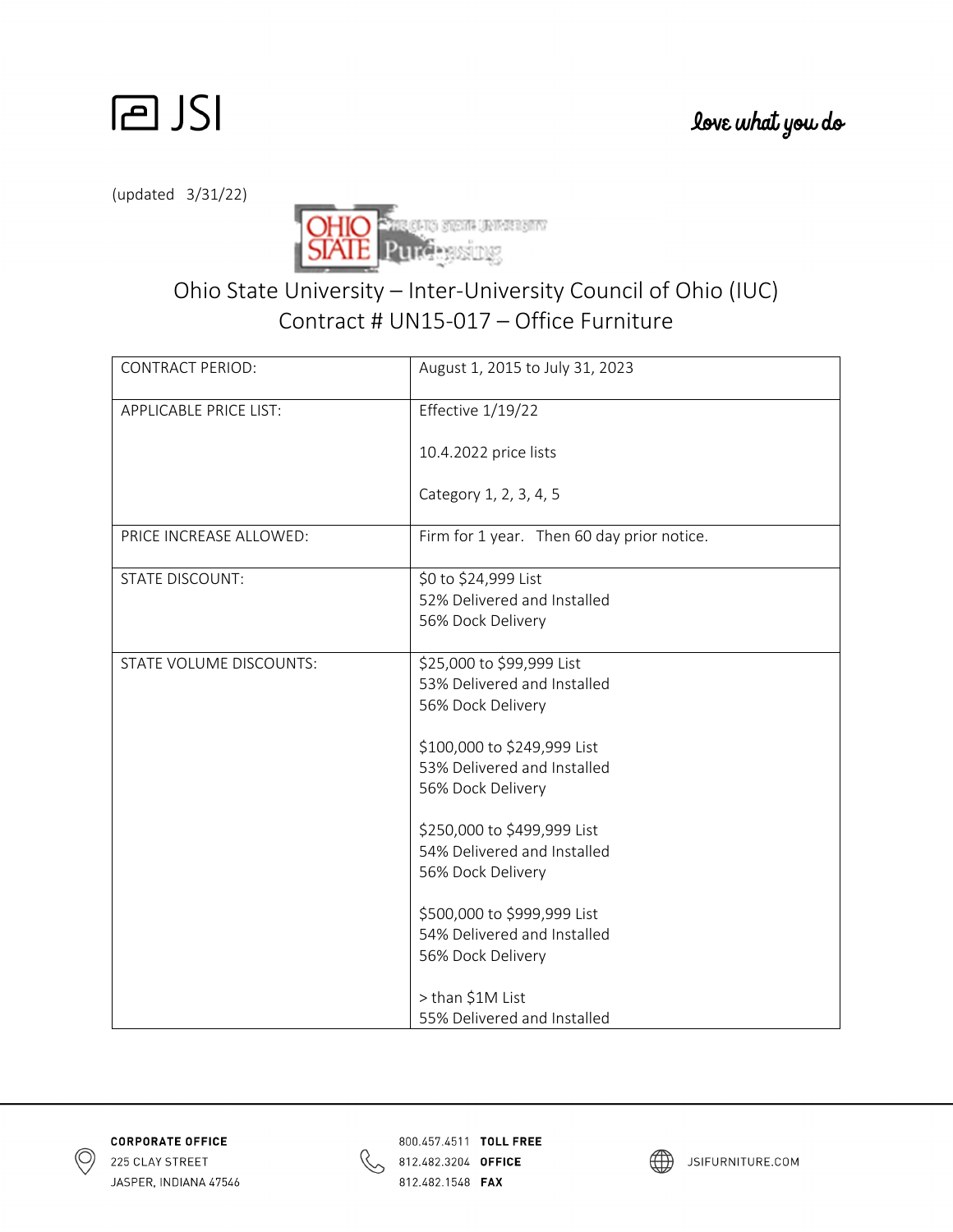

(updated 3/31/22)



## Ohio State University – Inter‐University Council of Ohio (IUC) Contract # UN15‐017 – Office Furniture

| <b>CONTRACT PERIOD:</b>       | August 1, 2015 to July 31, 2023            |
|-------------------------------|--------------------------------------------|
| <b>APPLICABLE PRICE LIST:</b> | Effective 1/19/22                          |
|                               | 10.4.2022 price lists                      |
|                               | Category 1, 2, 3, 4, 5                     |
| PRICE INCREASE ALLOWED:       | Firm for 1 year. Then 60 day prior notice. |
| <b>STATE DISCOUNT:</b>        | \$0 to \$24,999 List                       |
|                               | 52% Delivered and Installed                |
|                               | 56% Dock Delivery                          |
| STATE VOLUME DISCOUNTS:       | \$25,000 to \$99,999 List                  |
|                               | 53% Delivered and Installed                |
|                               | 56% Dock Delivery                          |
|                               | \$100,000 to \$249,999 List                |
|                               | 53% Delivered and Installed                |
|                               | 56% Dock Delivery                          |
|                               | \$250,000 to \$499,999 List                |
|                               | 54% Delivered and Installed                |
|                               | 56% Dock Delivery                          |
|                               | \$500,000 to \$999,999 List                |
|                               | 54% Delivered and Installed                |
|                               | 56% Dock Delivery                          |
|                               | > than \$1M List                           |
|                               | 55% Delivered and Installed                |





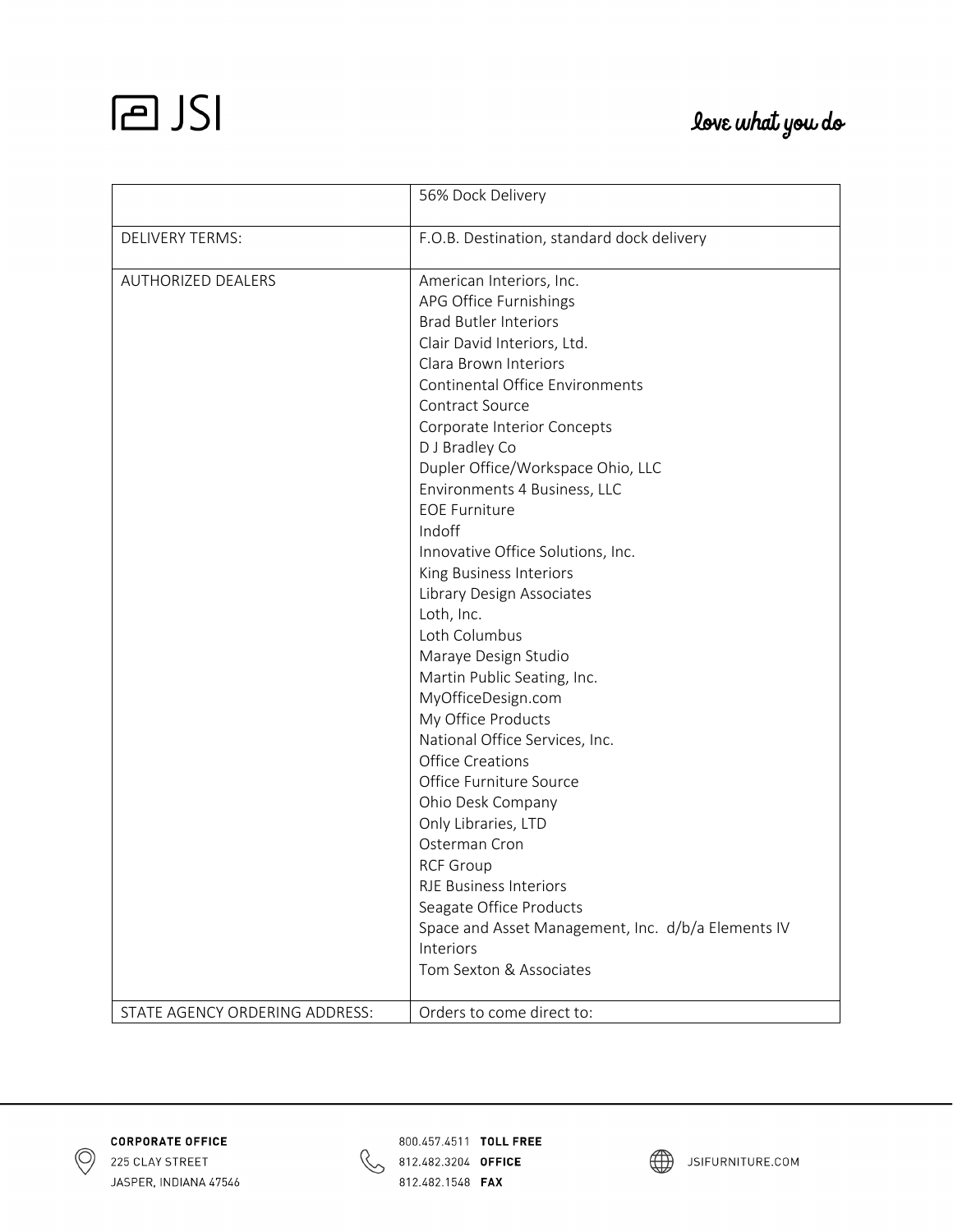## **PJSI**

## love what you do

|                                | 56% Dock Delivery                                  |
|--------------------------------|----------------------------------------------------|
| <b>DELIVERY TERMS:</b>         | F.O.B. Destination, standard dock delivery         |
| <b>AUTHORIZED DEALERS</b>      | American Interiors, Inc.                           |
|                                | APG Office Furnishings                             |
|                                | <b>Brad Butler Interiors</b>                       |
|                                | Clair David Interiors, Ltd.                        |
|                                | Clara Brown Interiors                              |
|                                | Continental Office Environments                    |
|                                | Contract Source                                    |
|                                | Corporate Interior Concepts                        |
|                                | D J Bradley Co                                     |
|                                | Dupler Office/Workspace Ohio, LLC                  |
|                                | Environments 4 Business, LLC                       |
|                                | <b>EOE Furniture</b>                               |
|                                | Indoff                                             |
|                                | Innovative Office Solutions, Inc.                  |
|                                | King Business Interiors                            |
|                                | Library Design Associates                          |
|                                | Loth, Inc.                                         |
|                                | Loth Columbus                                      |
|                                | Maraye Design Studio                               |
|                                | Martin Public Seating, Inc.                        |
|                                | MyOfficeDesign.com                                 |
|                                | My Office Products                                 |
|                                | National Office Services, Inc.                     |
|                                | <b>Office Creations</b>                            |
|                                | Office Furniture Source                            |
|                                | Ohio Desk Company                                  |
|                                | Only Libraries, LTD                                |
|                                | Osterman Cron                                      |
|                                | <b>RCF Group</b>                                   |
|                                | <b>RJE Business Interiors</b>                      |
|                                | Seagate Office Products                            |
|                                | Space and Asset Management, Inc. d/b/a Elements IV |
|                                | Interiors                                          |
|                                | Tom Sexton & Associates                            |
| STATE AGENCY ORDERING ADDRESS: | Orders to come direct to:                          |